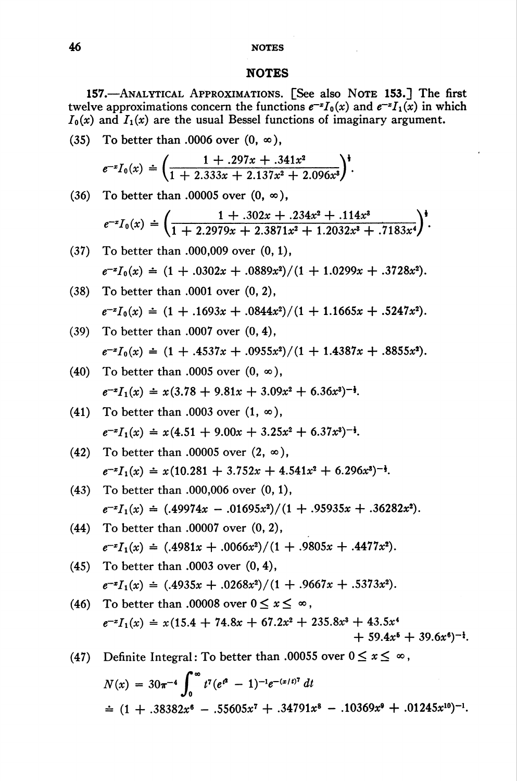# 46 NOTES

## **NOTES**

157.—Analytical Approximations. [See also Note 153.] The first twelve approximations concern the functions  $e^{-x}I_0(x)$  and  $e^{-x}I_1(x)$  in which  $I_0(x)$  and  $I_1(x)$  are the usual Bessel functions of imaginary argument.

(35) To better than .0006 over  $(0, \infty)$ ,

$$
e^{-x}I_0(x) = \left(\frac{1 + .297x + .341x^2}{1 + 2.333x + 2.137x^2 + 2.096x^3}\right)^{\frac{1}{3}}.
$$

 $(36)$ To better than .00005 over  $(0, \infty)$ ,

$$
e^{-x}I_0(x) = \left(\frac{1+.302x+.234x^2+.114x^3}{1+2.2979x+.2.3871x^2+.1.2032x^3+.7183x^4}\right)^{\frac{1}{3}}.
$$

- $(37)$  To better than .000,009 over  $(0, 1)$ ,  $e^{-x}I_0(x) \doteq (1 + .0302x + .0889x^2)/(1 + 1.0299x + .3728x^2).$
- $(38)$ To better than .0001 over (0, 2),  $e^{-x}I_0(x) = (1 + .1693x + .0844x^2)/(1 + 1.1665x + .5247x^2).$

(39) To better than .0007 over (0, 4),  

$$
e^{-x}I_0(x) = (1 + .4537x + .0955x^2)/(1 + 1.4387x + .8855x^2).
$$

- (40) To better than .0005 over  $(0, \infty)$ ,  $e^{-x}I_1(x) = x(3.78 + 9.81x + 3.09x^2 + 6.36x^3)^{-\frac{1}{2}}.$
- To better than .0003 over  $(1, \infty)$ ,  $(41)$  $e^{-x}I_1(x) = x(4.51 + 9.00x + 3.25x^2 + 6.37x^3)^{-\frac{1}{2}}$ .
- To better than .00005 over  $(2, \infty)$ ,  $(42)$  $e^{-x}I_1(x) = x(10.281 + 3.752x + 4.541x^2 + 6.296x^3)^{-\frac{1}{2}}$ .
- To better than .000,006 over (0, 1),  $(43)$  $e^{-x}I_1(x) = (0.49974x - 0.01695x^2)/(1 + 0.95935x + 0.36282x^2).$
- $(44)$ To better than .00007 over (0, 2),  $e^{-x}I_1(x) = (0.4981x + 0.0066x^2)/(1 + 0.9805x + 0.4477x^2).$
- To better than .0003 over (0, 4),  $e^{-x}I_1(x) = (0.4935x + 0.0268x^2)/(1 + 0.9667x + 0.5373x^2).$
- (46) To better than .00008 over  $0 \le x \le \infty$ ,  $e^{-x}I_1(x) = x(15.4 + 74.8x + 67.2x^2 + 235.8x^3 + 43.5x^4)$  $+ 59.4x^{6} + 39.6x^{6}$ <sup>-1</sup>.

(47) Define Integrals: To better than .00055 over 
$$
0 \le x \le \infty
$$
,  
\n
$$
N(x) = 30\pi^{-4} \int_0^\infty t^7 (e^{t^2} - 1)^{-1} e^{-(x/t)^7} dt
$$
\n
$$
\approx (1 + .38382x^6 - .55605x^7 + .34791x^8 - .10369x^9 + .01245x^{10})^{-1}.
$$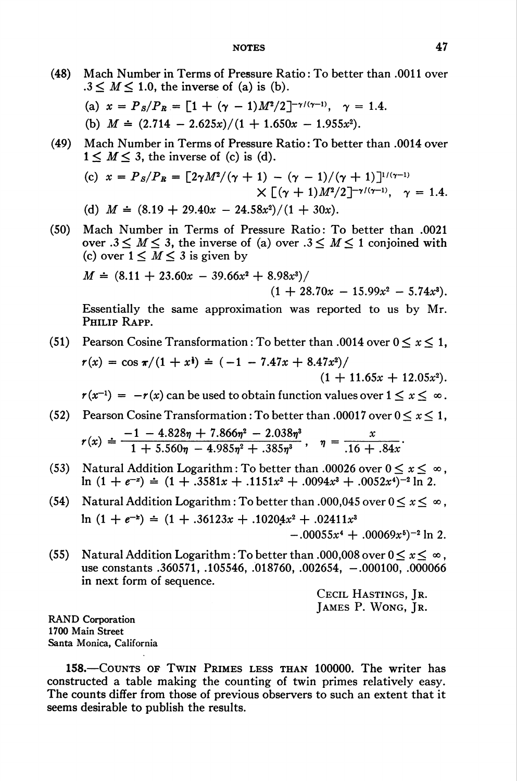(48) Mach Number in Terms of Pressure Ratio : To better than .0011 over  $.3 \leq M \leq 1.0$ , the inverse of (a) is (b).

(a) 
$$
x = P_s/P_R = [1 + (\gamma - 1)M^2/2]^{-\gamma/(\gamma - 1)}, \gamma = 1.4.
$$
  
(b)  $M = (2.714 - 2.625x)/(1 + 1.650x - 1.955x^2).$ 

(49) Mach Number in Terms of Pressure Ratio : To better than .0014 over  $1 \leq M \leq 3$ , the inverse of (c) is (d).

(c) 
$$
x = P_s/P_R = \left[2\gamma M^2/(\gamma + 1) - (\gamma - 1)/(\gamma + 1)\right]^{1/(\gamma - 1)}
$$
  
  $\times \left[ (\gamma + 1)M^2/2 \right]^{-\gamma/(\gamma - 1)}, \gamma = 1.4.$   
(d)  $M = (8.19 + 29.40x - 24.58x^2)/(1 + 30x).$ 

(50) Mach Number in Terms of Pressure Ratio: To better than .0021 over  $.3 \leq M \leq 3$ , the inverse of (a) over  $.3 \leq M \leq 1$  conjoined with

(c) over 
$$
1 \leq M \leq 3
$$
 is given by  
\n
$$
M = (8.11 + 23.60x - 39.66x^{2} + 8.98x^{3})/(1 + 28.70x - 15.99x^{2} - 5.74x^{3}).
$$

Essentially the same approximation was reported to us by Mr. PHILIP RAPP.

(51) Pearson Cosine Transformation : To better than .0014 over  $0 \le x \le 1$ ,  $r(x) = \cos \pi/(1 + x^2) = (-1 - 7.47x + 8.47x^2)/$  $(1 + 11.65x + 12.05x^2)$ .

 $r(x^{-1}) = -r(x)$  can be used to obtain function values over  $1 \le x \le \infty$ .

- (52) Pearson Cosine Transformation: To better than .00017 over  $0 \le x \le 1$ ,  $r(x) \doteq \frac{-1 - 4.828\eta + 7.866\eta^2 - 2.038\eta^3}{1 + 5.560\eta - 4.985\eta^2 + .385\eta^3}, \quad \eta = \frac{x}{.16 + .84x}$
- (53) Natural Addition Logarithm: To better than .00026 over  $0 \le x \le \infty$ .  $\ln (1 + e^{-x}) = (1 + .3581x + .1151x^2 + .0094x^3 + .0052x^4)^{-2} \ln 2$ .
- (54) Natural Addition Logarithm : To better than .000,045 over  $0 \le x \le \infty$ .  $\ln (1 + e^{-x}) = (1 + .36123x + .10204x^2 + .02411x^3)$  $-.00055x^{4} + .00069x^{5}$ <sup>-2</sup> ln 2.
- (55) Natural Addition Logarithm : To better than .000,008 over  $0 \le x \le \infty$ . use constants .360571, .105546, .018760, .002654, -.000100, .000066 in next form of sequence.

CECIL HASTINGS, IR. James P. Wong, Jr.

RAND Corporation 1700 Main Street Santa Monica, California

158.—Counts of Twin Primes less than 100000. The writer has constructed a table making the counting of twin primes relatively easy. The counts differ from those of previous observers to such an extent that it seems desirable to publish the results.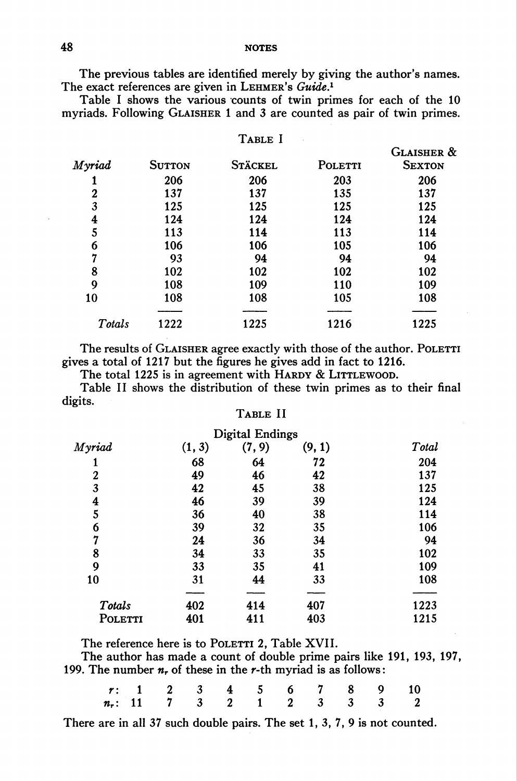NOTES

The previous tables are identified merely by giving the author's names. The exact references are given in LEHMER's Guide.<sup>1</sup>

Table I shows the various counts of twin primes for each of the 10 myriads. Following GLAISHER 1 and 3 are counted as pair of twin primes.

TABLE I

| Myriad | <b>SUTTON</b> | <b>STÄCKEL</b> | POLETTI | <b>GLAISHER &amp;</b><br><b>SEXTON</b> |
|--------|---------------|----------------|---------|----------------------------------------|
|        | 206           | 206            | 203     | 206                                    |
| 2      | 137           | 137            | 135     | 137                                    |
| 3      | 125           | 125            | 125     | 125                                    |
| 4      | 124           | 124            | 124     | 124                                    |
| 5      | 113           | 114            | 113     | 114                                    |
| 6      | 106           | 106            | 105     | 106                                    |
| 7      | 93            | 94             | 94      | 94                                     |
| 8      | 102           | 102            | 102     | 102                                    |
| 9      | 108           | 109            | 110     | 109                                    |
| 10     | 108           | 108            | 105     | 108                                    |
|        |               |                |         |                                        |
| Totals | 1222          | 1225           | 1216    | 1225                                   |

The results of GLAISHER agree exactly with those of the author. POLETTI gives a total of 1217 but the figures he gives add in fact to 1216.

The total 1225 is in agreement with HARDY & LITTLEWOOD.

Table II shows the distribution of these twin primes as to their final digits.

# Table II

|                  |        | Digital Endings |        |       |
|------------------|--------|-----------------|--------|-------|
| Myriad           | (1, 3) | (7, 9)          | (9, 1) | Total |
|                  | 68     | 64              | 72     | 204   |
| $\boldsymbol{2}$ | 49     | 46              | 42     | 137   |
| 3                | 42     | 45              | 38     | 125   |
| 4                | 46     | 39              | 39     | 124   |
| 5                | 36     | 40              | 38     | 114   |
| 6                | 39     | 32              | 35     | 106   |
| 7                | 24     | 36              | 34     | 94    |
| 8                | 34     | 33              | 35     | 102   |
| 9                | 33     | 35              | 41     | 109   |
| 10               | 31     | 44              | 33     | 108   |
| Totals           | 402    | 414             | 407    | 1223  |
| POLETTI          | 401    | 411             | 403    | 1215  |

The reference here is to POLETTI 2. Table XVII.

The author has made a count of double prime pairs like 191, 193, 197, 199. The number  $n_r$ , of these in the r-th myriad is as follows:

|  |  |  |  | r: 1 2 3 4 5 6 7 8 9 10      |  |
|--|--|--|--|------------------------------|--|
|  |  |  |  | $n_r$ : 11 7 3 2 1 2 3 3 3 2 |  |

There are in all 37 such double pairs. The set 1, 3, 7, 9 is not counted.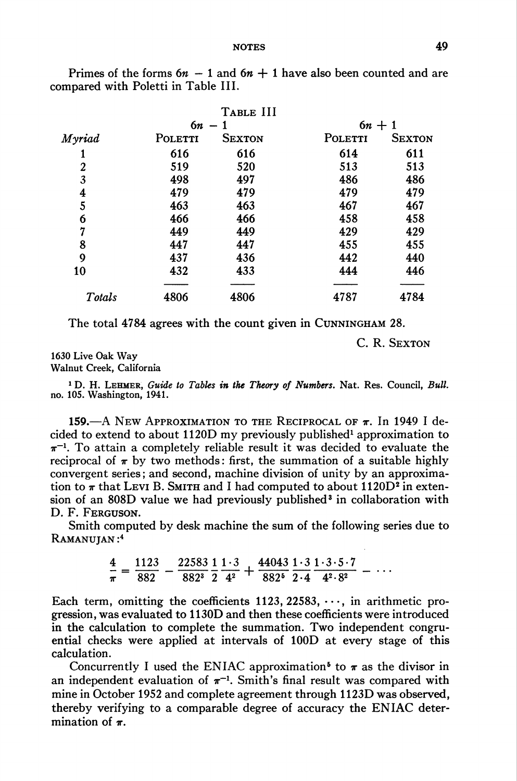|         | TABLE III     |          |               |  |  |
|---------|---------------|----------|---------------|--|--|
|         |               | $6n + 1$ |               |  |  |
| POLETTI | <b>SEXTON</b> | POLETTI  | <b>SEXTON</b> |  |  |
| 616     | 616           | 614      | 611           |  |  |
| 519     | 520           | 513      | 513           |  |  |
| 498     | 497           | 486      | 486           |  |  |
| 479     | 479           | 479      | 479           |  |  |
| 463     | 463           | 467      | 467           |  |  |
| 466     | 466           | 458      | 458           |  |  |
| 449     | 449           | 429      | 429           |  |  |
| 447     | 447           | 455      | 455           |  |  |
| 437     | 436           | 442      | 440           |  |  |
| 432     | 433           | 444      | 446           |  |  |
| 4806    | 4806          | 4787     | 4784          |  |  |
|         |               | $6n -$   |               |  |  |

Primes of the forms  $6n - 1$  and  $6n + 1$  have also been counted and are compared with Poletti in Table III.

The total 4784 agrees with the count given in Cunningham 28.

C. R. SEXTON

#### 1630 Live Oak Way Walnut Creek, California

<sup>1</sup> D. H. LEHMER, Guide to Tables in the Theory of Numbers. Nat. Res. Council, Bull. no. 105. Washington, 1941.

159.—A New Approximation to the Reciprocal of  $\pi$ . In 1949 I decided to extend to about  $1120D$  my previously published<sup>1</sup> approximation to  $\pi^{-1}$ . To attain a completely reliable result it was decided to evaluate the reciprocal of  $\pi$  by two methods: first, the summation of a suitable highly convergent series; and second, machine division of unity by an approximation to  $\pi$  that Levi B. SMITH and I had computed to about 1120D<sup>2</sup> in extension of an 808D value we had previously published3 in collaboration with D. F. Ferguson.

Smith computed by desk machine the sum of the following series due to RAMANUJAN:<sup>4</sup>

$$
\frac{4}{\pi} = \frac{1123}{882} - \frac{22583}{882^3} \frac{1}{2} \frac{1 \cdot 3}{4^2} + \frac{44043}{882^5} \frac{1 \cdot 3}{2 \cdot 4} \frac{1 \cdot 3 \cdot 5 \cdot 7}{4^2 \cdot 8^2} - \cdots
$$

Each term, omitting the coefficients 1123, 22583,  $\cdots$ , in arithmetic progression, was evaluated to 1130D and then these coefficients were introduced in the calculation to complete the summation. Two independent congruential checks were applied at intervals of 100D at every stage of this calculation.

Concurrently I used the ENIAC approximation<sup>5</sup> to  $\pi$  as the divisor in an independent evaluation of  $\pi^{-1}$ . Smith's final result was compared with mine in October 1952 and complete agreement through 1123D was observed, thereby verifying to a comparable degree of accuracy the ENIAC determination of  $\pi$ .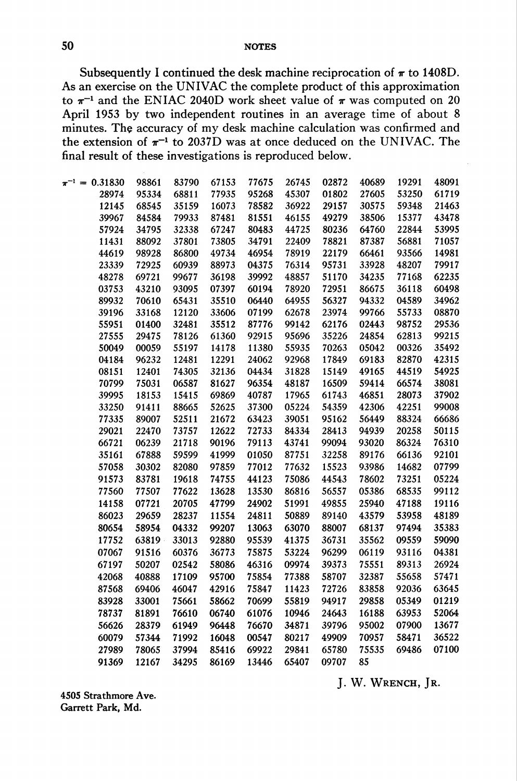Subsequently I continued the desk machine reciprocation of  $\pi$  to 1408D. As an exercise on the UNIVAC the complete product of this approximation to  $\pi^{-1}$  and the ENIAC 2040D work sheet value of  $\pi$  was computed on 20 April 1953 by two independent routines in an average time of about 8 minutes. The accuracy of my desk machine calculation was confirmed and the extension of  $\pi^{-1}$  to 2037D was at once deduced on the UNIVAC. The final result of these investigations is reproduced below.

| $\pi^{-1} = 0.31830$ | 98861 | 83790 | 67153 | 77675 | 26745 | 02872 | 40689 | 19291 | 48091 |
|----------------------|-------|-------|-------|-------|-------|-------|-------|-------|-------|
| 28974                | 95334 | 68811 | 77935 | 95268 | 45307 | 01802 | 27605 | 53250 | 61719 |
| 12145                | 68545 | 35159 | 16073 | 78582 | 36922 | 29157 | 30575 | 59348 | 21463 |
| 39967                | 84584 | 79933 | 87481 | 81551 | 46155 | 49279 | 38506 | 15377 | 43478 |
| 57924                | 34795 | 32338 | 67247 | 80483 | 44725 | 80236 | 64760 | 22844 | 53995 |
| 11431                | 88092 | 37801 | 73805 | 34791 | 22409 | 78821 | 87387 | 56881 | 71057 |
| 44619                | 98928 | 86800 | 49734 | 46954 | 78919 | 22179 | 66461 | 93566 | 14981 |
| 23339                | 72925 | 60939 | 88973 | 04375 | 76314 | 95731 | 33928 | 48207 | 79917 |
| 48278                | 69721 | 99677 | 36198 | 39992 | 48857 | 51170 | 34235 | 77168 | 62235 |
| 03753                | 43210 | 93095 | 07397 | 60194 | 78920 | 72951 | 86675 | 36118 | 60498 |
| 89932                | 70610 | 65431 | 35510 | 06440 | 64955 | 56327 | 94332 | 04589 | 34962 |
| 39196                | 33168 | 12120 | 33606 | 07199 | 62678 | 23974 | 99766 | 55733 | 08870 |
| 55951                | 01400 | 32481 | 35512 | 87776 | 99142 | 62176 | 02443 | 98752 | 29536 |
| 27555                | 29475 | 78126 | 61360 | 92915 | 95696 | 35226 | 24854 | 62813 | 99215 |
| 50049                | 00059 | 55197 | 14178 | 11380 | 55935 | 70263 | 05042 | 00326 | 35492 |
| 04184                | 96232 | 12481 | 12291 | 24062 | 92968 | 17849 | 69183 | 82870 | 42315 |
| 08151                | 12401 | 74305 | 32136 | 04434 | 31828 | 15149 | 49165 | 44519 | 54925 |
| 70799                | 75031 | 06587 | 81627 | 96354 | 48187 | 16509 | 59414 | 66574 | 38081 |
| 39995                | 18153 | 15415 | 69869 | 40787 | 17965 | 61743 | 46851 | 28073 | 37902 |
| 33250                | 91411 | 88665 | 52625 | 37300 | 05224 | 54359 | 42306 | 42251 | 99008 |
| 77335                | 89007 | 52511 | 21672 | 63423 | 39051 | 95162 | 56449 | 88324 | 66686 |
| 29021                | 22470 | 73757 | 12622 | 72733 | 84334 | 28413 | 94939 | 20258 | 50115 |
| 66721                | 06239 | 21718 | 90196 | 79113 | 43741 | 99094 | 93020 | 86324 | 76310 |
| 35161                | 67888 | 59599 | 41999 | 01050 | 87751 | 32258 | 89176 | 66136 | 92101 |
| 57058                | 30302 | 82080 | 97859 | 77012 | 77632 | 15523 | 93986 | 14682 | 07799 |
| 91573                | 83781 | 19618 | 74755 | 44123 | 75086 | 44543 | 78602 | 73251 | 05224 |
| 77560                | 77507 | 77622 | 13628 | 13530 | 86816 | 56557 | 05386 | 68535 | 99112 |
| 14158                | 07721 | 20705 | 47799 | 24902 | 51991 | 49855 | 25940 | 47188 | 19116 |
| 86023                | 29659 | 28237 | 11554 | 24811 | 50889 | 89140 | 43579 | 53958 | 48189 |
| 80654                | 58954 | 04332 | 99207 | 13063 | 63070 | 88007 | 68137 | 97494 | 35383 |
| 17752                | 63819 | 33013 | 92880 | 95539 | 41375 | 36731 | 35562 | 09559 | 59090 |
| 07067                | 91516 | 60376 | 36773 | 75875 | 53224 | 96299 | 06119 | 93116 | 04381 |
| 67197                | 50207 | 02542 | 58086 | 46316 | 09974 | 39373 | 75551 | 89313 | 26924 |
| 42068                | 40888 | 17109 | 95700 | 75854 | 77388 | 58707 | 32387 | 55658 | 57471 |
| 87568                | 69406 | 46047 | 42916 | 75847 | 11423 | 72726 | 83858 | 92036 | 63645 |
| 83928                | 33001 | 75661 | 58662 | 70699 | 55819 | 94917 | 29858 | 05349 | 01219 |
| 78737                | 81891 | 76610 | 06740 | 61076 | 10946 | 24643 | 16188 | 63953 | 52064 |
| 56626                | 28379 | 61949 | 96448 | 76670 | 34871 | 39796 | 95002 | 07900 | 13677 |
| 60079                | 57344 | 71992 | 16048 | 00547 | 80217 | 49909 | 70957 | 58471 | 36522 |
| 27989                | 78065 | 37994 | 85416 | 69922 | 29841 | 65780 | 75535 | 69486 | 07100 |
| 91369                | 12167 | 34295 | 86169 | 13446 | 65407 | 09707 | 85    |       |       |
|                      |       |       |       |       |       |       |       |       |       |

J. W. WRENCH, JR.

4505 Strathmore Ave. Garrett Park, Md.